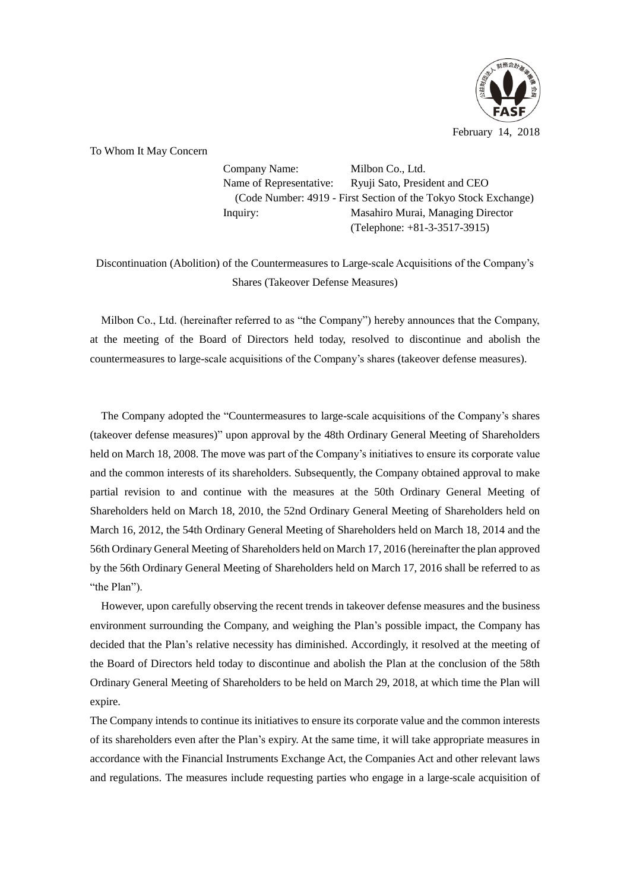

To Whom It May Concern

Company Name: Milbon Co., Ltd. Name of Representative: Ryuji Sato, President and CEO (Code Number: 4919 - First Section of the Tokyo Stock Exchange) Inquiry: Masahiro Murai, Managing Director (Telephone: +81-3-3517-3915)

Discontinuation (Abolition) of the Countermeasures to Large-scale Acquisitions of the Company's Shares (Takeover Defense Measures)

Milbon Co., Ltd. (hereinafter referred to as "the Company") hereby announces that the Company, at the meeting of the Board of Directors held today, resolved to discontinue and abolish the countermeasures to large-scale acquisitions of the Company's shares (takeover defense measures).

The Company adopted the "Countermeasures to large-scale acquisitions of the Company's shares (takeover defense measures)" upon approval by the 48th Ordinary General Meeting of Shareholders held on March 18, 2008. The move was part of the Company's initiatives to ensure its corporate value and the common interests of its shareholders. Subsequently, the Company obtained approval to make partial revision to and continue with the measures at the 50th Ordinary General Meeting of Shareholders held on March 18, 2010, the 52nd Ordinary General Meeting of Shareholders held on March 16, 2012, the 54th Ordinary General Meeting of Shareholders held on March 18, 2014 and the 56th Ordinary General Meeting of Shareholders held on March 17, 2016 (hereinafter the plan approved by the 56th Ordinary General Meeting of Shareholders held on March 17, 2016 shall be referred to as "the Plan").

However, upon carefully observing the recent trends in takeover defense measures and the business environment surrounding the Company, and weighing the Plan's possible impact, the Company has decided that the Plan's relative necessity has diminished. Accordingly, it resolved at the meeting of the Board of Directors held today to discontinue and abolish the Plan at the conclusion of the 58th Ordinary General Meeting of Shareholders to be held on March 29, 2018, at which time the Plan will expire.

The Company intends to continue its initiatives to ensure its corporate value and the common interests of its shareholders even after the Plan's expiry. At the same time, it will take appropriate measures in accordance with the Financial Instruments Exchange Act, the Companies Act and other relevant laws and regulations. The measures include requesting parties who engage in a large-scale acquisition of